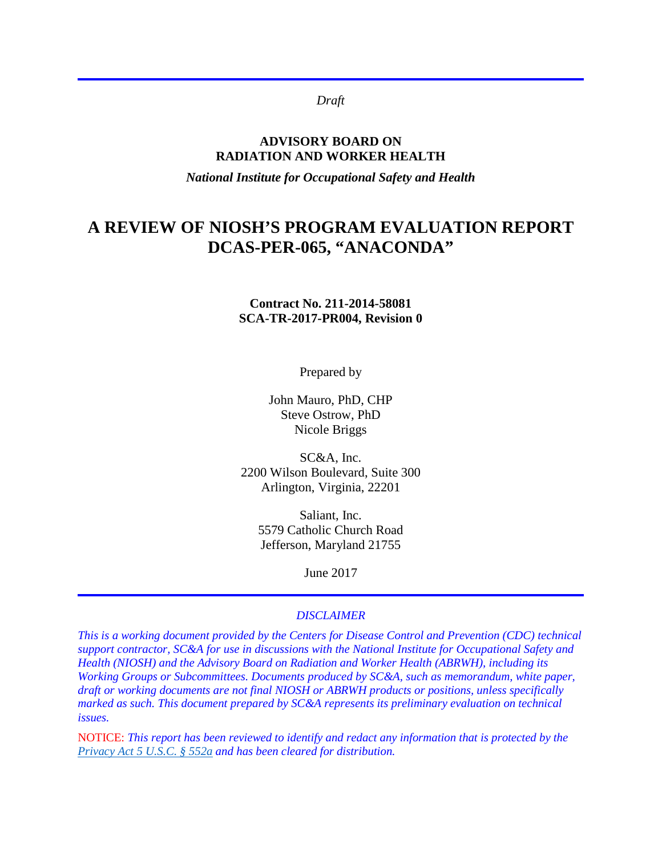*Draft*

#### **ADVISORY BOARD ON RADIATION AND WORKER HEALTH**

*National Institute for Occupational Safety and Health*

# **A REVIEW OF NIOSH'S PROGRAM EVALUATION REPORT DCAS-PER-065, "ANACONDA"**

#### **Contract No. 211-2014-58081 SCA-TR-2017-PR004, Revision 0**

Prepared by

John Mauro, PhD, CHP Steve Ostrow, PhD Nicole Briggs

SC&A, Inc. 2200 Wilson Boulevard, Suite 300 Arlington, Virginia, 22201

> Saliant, Inc. 5579 Catholic Church Road Jefferson, Maryland 21755

> > June 2017

#### *DISCLAIMER*

*This is a working document provided by the Centers for Disease Control and Prevention (CDC) technical support contractor, SC&A for use in discussions with the National Institute for Occupational Safety and Health (NIOSH) and the Advisory Board on Radiation and Worker Health (ABRWH), including its Working Groups or Subcommittees. Documents produced by SC&A, such as memorandum, white paper, draft or working documents are not final NIOSH or ABRWH products or positions, unless specifically marked as such. This document prepared by SC&A represents its preliminary evaluation on technical issues.*

NOTICE: *This report has been reviewed to identify and redact any information that is protected by the [Privacy Act 5 U.S.C. § 552a](http://www.justice.gov/opcl/privacy-act-1974) and has been cleared for distribution.*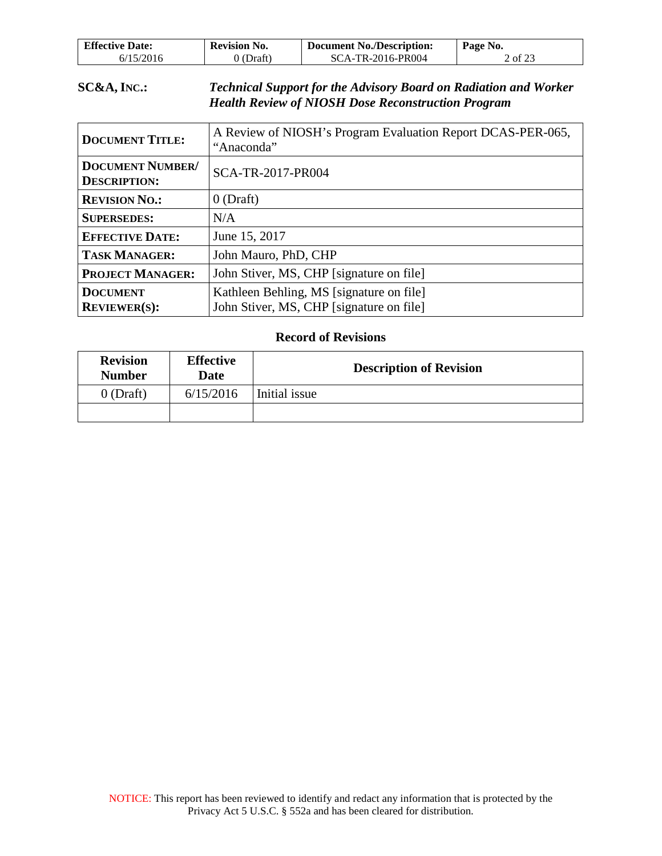| <b>Effective Date:</b> | <b>Revision No.</b> | <b>Document No./Description:</b> | Page No. |
|------------------------|---------------------|----------------------------------|----------|
| 6/15/2016              | (Draft)             | SCA-TR-2016-PR004                | 2 of 23  |

### **SC&A, INC.:** *Technical Support for the Advisory Board on Radiation and Worker Health Review of NIOSH Dose Reconstruction Program*

| <b>DOCUMENT TITLE:</b>                         | A Review of NIOSH's Program Evaluation Report DCAS-PER-065,<br>"Anaconda"            |
|------------------------------------------------|--------------------------------------------------------------------------------------|
| <b>DOCUMENT NUMBER/</b><br><b>DESCRIPTION:</b> | SCA-TR-2017-PR004                                                                    |
| <b>REVISION NO.:</b>                           | $0$ (Draft)                                                                          |
| <b>SUPERSEDES:</b>                             | N/A                                                                                  |
| <b>EFFECTIVE DATE:</b>                         | June 15, 2017                                                                        |
| <b>TASK MANAGER:</b>                           | John Mauro, PhD, CHP                                                                 |
| <b>PROJECT MANAGER:</b>                        | John Stiver, MS, CHP [signature on file]                                             |
| <b>DOCUMENT</b><br><b>REVIEWER(S):</b>         | Kathleen Behling, MS [signature on file]<br>John Stiver, MS, CHP [signature on file] |

#### **Record of Revisions**

| <b>Revision</b><br><b>Number</b> | <b>Effective</b><br>Date | <b>Description of Revision</b> |
|----------------------------------|--------------------------|--------------------------------|
| $0$ (Draft)                      | 6/15/2016                | Initial issue                  |
|                                  |                          |                                |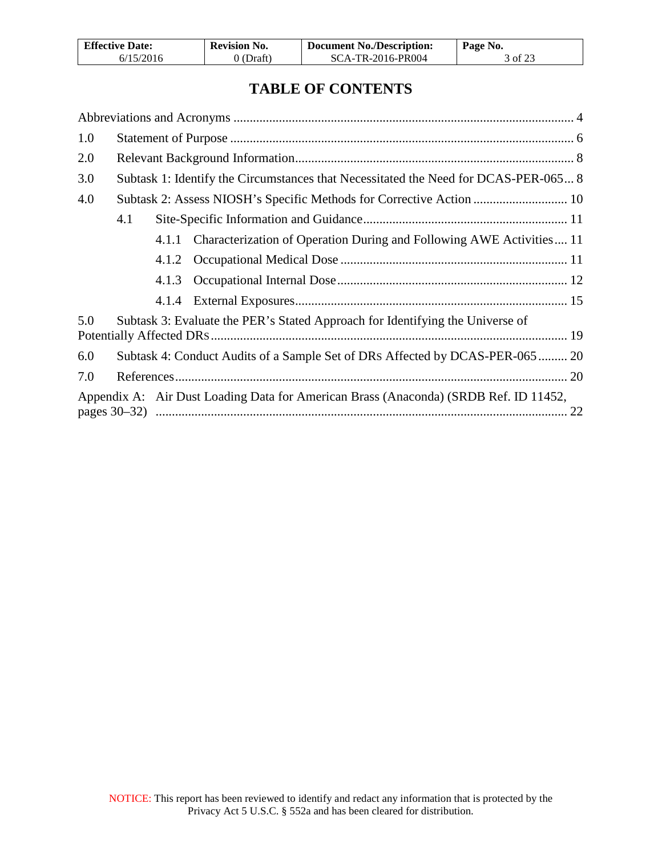| <b>Effective Date:</b> | <b>Revision No.</b> | Document No./Description: | Page No. |
|------------------------|---------------------|---------------------------|----------|
| 6/15/2016              | 0 (Draft)           | SCA-TR-2016-PR004         | 3 of 23  |

## **TABLE OF CONTENTS**

| 1.0 |     |       |                                                                                      |
|-----|-----|-------|--------------------------------------------------------------------------------------|
| 2.0 |     |       |                                                                                      |
| 3.0 |     |       | Subtask 1: Identify the Circumstances that Necessitated the Need for DCAS-PER-065 8  |
| 4.0 |     |       | Subtask 2: Assess NIOSH's Specific Methods for Corrective Action  10                 |
|     | 4.1 |       |                                                                                      |
|     |     |       | 4.1.1 Characterization of Operation During and Following AWE Activities 11           |
|     |     |       |                                                                                      |
|     |     | 4.1.3 |                                                                                      |
|     |     |       |                                                                                      |
| 5.0 |     |       | Subtask 3: Evaluate the PER's Stated Approach for Identifying the Universe of        |
| 6.0 |     |       | Subtask 4: Conduct Audits of a Sample Set of DRs Affected by DCAS-PER-065  20        |
| 7.0 |     |       |                                                                                      |
|     |     |       | Appendix A: Air Dust Loading Data for American Brass (Anaconda) (SRDB Ref. ID 11452, |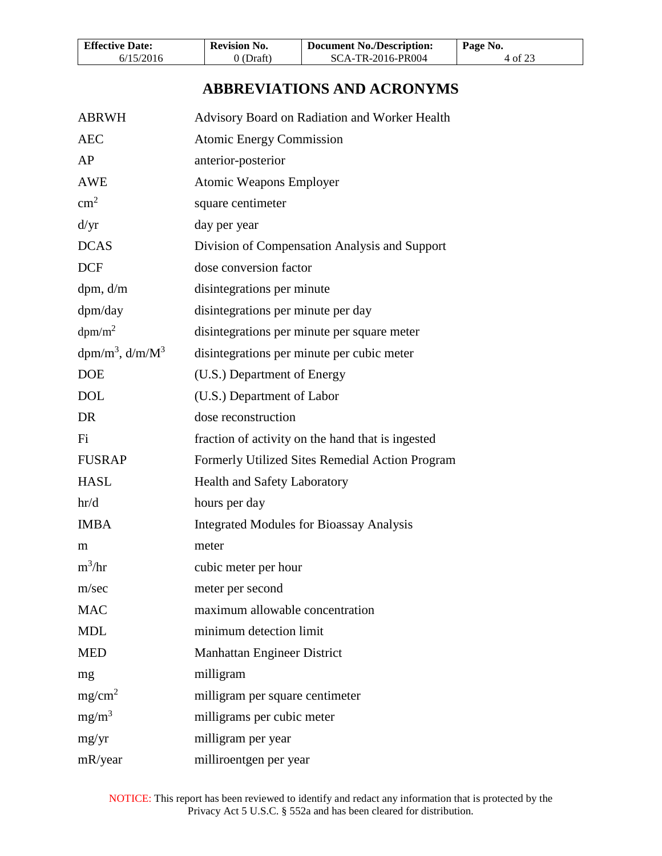| <b>Effective Date:</b> | <b>Revision No.</b> | <b>Document No./Description:</b> | Page No. |
|------------------------|---------------------|----------------------------------|----------|
| 6/15/2016              | 0 (Draft)           | SCA-TR-2016-PR004                | 4 of 23  |

## **ABBREVIATIONS AND ACRONYMS**

<span id="page-3-0"></span>

| <b>ABRWH</b>          | Advisory Board on Radiation and Worker Health     |
|-----------------------|---------------------------------------------------|
| <b>AEC</b>            | <b>Atomic Energy Commission</b>                   |
| AP                    | anterior-posterior                                |
| <b>AWE</b>            | <b>Atomic Weapons Employer</b>                    |
| $\text{cm}^2$         | square centimeter                                 |
| d/yr                  | day per year                                      |
| <b>DCAS</b>           | Division of Compensation Analysis and Support     |
| <b>DCF</b>            | dose conversion factor                            |
| dpm, d/m              | disintegrations per minute                        |
| dpm/day               | disintegrations per minute per day                |
| dpm/m <sup>2</sup>    | disintegrations per minute per square meter       |
| $dpm/m^3$ , $d/m/M^3$ | disintegrations per minute per cubic meter        |
| <b>DOE</b>            | (U.S.) Department of Energy                       |
| <b>DOL</b>            | (U.S.) Department of Labor                        |
| DR                    | dose reconstruction                               |
| Fi                    | fraction of activity on the hand that is ingested |
| <b>FUSRAP</b>         | Formerly Utilized Sites Remedial Action Program   |
| <b>HASL</b>           | <b>Health and Safety Laboratory</b>               |
| hr/d                  | hours per day                                     |
| <b>IMBA</b>           | <b>Integrated Modules for Bioassay Analysis</b>   |
| m                     | meter                                             |
| $m^3/hr$              | cubic meter per hour                              |
| m/sec                 | meter per second                                  |
| <b>MAC</b>            | maximum allowable concentration                   |
| <b>MDL</b>            | minimum detection limit                           |
| <b>MED</b>            | Manhattan Engineer District                       |
| mg                    | milligram                                         |
| mg/cm <sup>2</sup>    | milligram per square centimeter                   |
| $mg/m^3$              | milligrams per cubic meter                        |
| mg/yr                 | milligram per year                                |
| mR/year               | milliroentgen per year                            |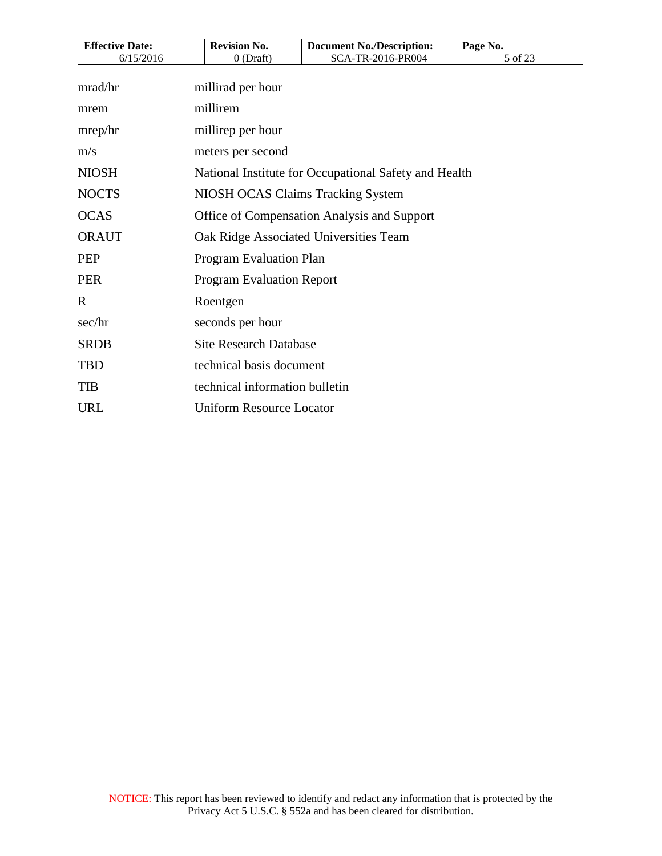| <b>Revision No.</b>                         | <b>Document No./Description:</b>                                                                           | Page No.                                                                                                                                                                   |
|---------------------------------------------|------------------------------------------------------------------------------------------------------------|----------------------------------------------------------------------------------------------------------------------------------------------------------------------------|
|                                             |                                                                                                            | 5 of 23                                                                                                                                                                    |
|                                             |                                                                                                            |                                                                                                                                                                            |
| millirem                                    |                                                                                                            |                                                                                                                                                                            |
|                                             |                                                                                                            |                                                                                                                                                                            |
|                                             |                                                                                                            |                                                                                                                                                                            |
|                                             |                                                                                                            |                                                                                                                                                                            |
| NIOSH OCAS Claims Tracking System           |                                                                                                            |                                                                                                                                                                            |
| Office of Compensation Analysis and Support |                                                                                                            |                                                                                                                                                                            |
| Oak Ridge Associated Universities Team      |                                                                                                            |                                                                                                                                                                            |
| Program Evaluation Plan                     |                                                                                                            |                                                                                                                                                                            |
| <b>Program Evaluation Report</b>            |                                                                                                            |                                                                                                                                                                            |
|                                             |                                                                                                            |                                                                                                                                                                            |
|                                             |                                                                                                            |                                                                                                                                                                            |
|                                             |                                                                                                            |                                                                                                                                                                            |
|                                             |                                                                                                            |                                                                                                                                                                            |
| technical information bulletin              |                                                                                                            |                                                                                                                                                                            |
|                                             |                                                                                                            |                                                                                                                                                                            |
|                                             | $0$ (Draft)<br>millirad per hour<br>millirep per hour<br>meters per second<br>Roentgen<br>seconds per hour | SCA-TR-2016-PR004<br>National Institute for Occupational Safety and Health<br><b>Site Research Database</b><br>technical basis document<br><b>Uniform Resource Locator</b> |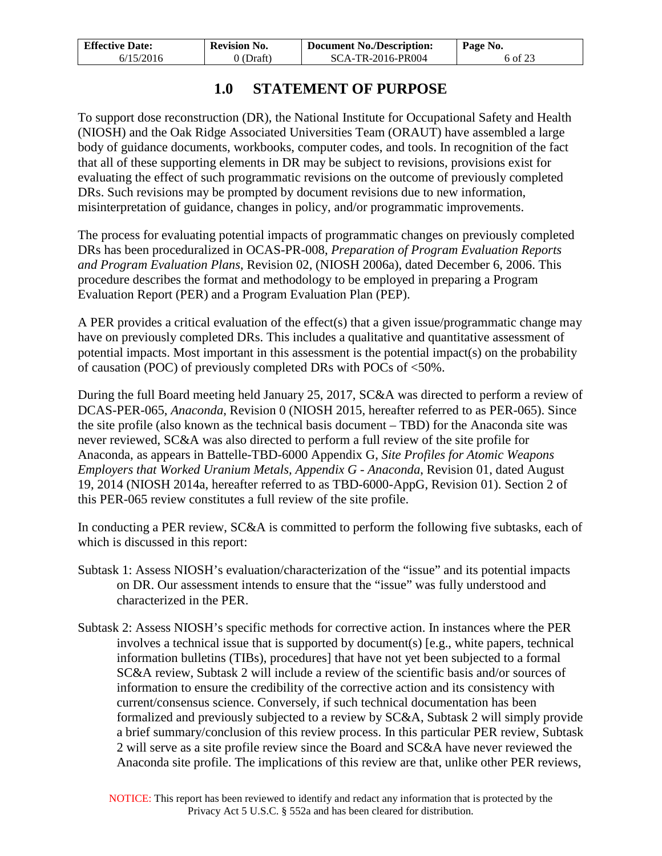| <b>Effective Date:</b> | <b>Revision No.</b> | <b>Document No./Description:</b> | Page No. |
|------------------------|---------------------|----------------------------------|----------|
| 6/15/2016              | 0 (Draft)           | SCA-TR-2016-PR004                | 6 of 23  |

## **1.0 STATEMENT OF PURPOSE**

<span id="page-5-0"></span>To support dose reconstruction (DR), the National Institute for Occupational Safety and Health (NIOSH) and the Oak Ridge Associated Universities Team (ORAUT) have assembled a large body of guidance documents, workbooks, computer codes, and tools. In recognition of the fact that all of these supporting elements in DR may be subject to revisions, provisions exist for evaluating the effect of such programmatic revisions on the outcome of previously completed DRs. Such revisions may be prompted by document revisions due to new information, misinterpretation of guidance, changes in policy, and/or programmatic improvements.

The process for evaluating potential impacts of programmatic changes on previously completed DRs has been proceduralized in OCAS-PR-008, *Preparation of Program Evaluation Reports and Program Evaluation Plans*, Revision 02, (NIOSH 2006a), dated December 6, 2006. This procedure describes the format and methodology to be employed in preparing a Program Evaluation Report (PER) and a Program Evaluation Plan (PEP).

A PER provides a critical evaluation of the effect(s) that a given issue/programmatic change may have on previously completed DRs. This includes a qualitative and quantitative assessment of potential impacts. Most important in this assessment is the potential impact(s) on the probability of causation (POC) of previously completed DRs with POCs of <50%.

During the full Board meeting held January 25, 2017, SC&A was directed to perform a review of DCAS-PER-065, *Anaconda*, Revision 0 (NIOSH 2015, hereafter referred to as PER-065). Since the site profile (also known as the technical basis document – TBD) for the Anaconda site was never reviewed, SC&A was also directed to perform a full review of the site profile for Anaconda, as appears in Battelle-TBD-6000 Appendix G, *Site Profiles for Atomic Weapons Employers that Worked Uranium Metals, Appendix G - Anaconda*, Revision 01, dated August 19, 2014 (NIOSH 2014a, hereafter referred to as TBD-6000-AppG, Revision 01). Section 2 of this PER-065 review constitutes a full review of the site profile.

In conducting a PER review, SC&A is committed to perform the following five subtasks, each of which is discussed in this report:

- Subtask 1: Assess NIOSH's evaluation/characterization of the "issue" and its potential impacts on DR. Our assessment intends to ensure that the "issue" was fully understood and characterized in the PER.
- Subtask 2: Assess NIOSH's specific methods for corrective action. In instances where the PER involves a technical issue that is supported by document(s) [e.g., white papers, technical information bulletins (TIBs), procedures] that have not yet been subjected to a formal SC&A review, Subtask 2 will include a review of the scientific basis and/or sources of information to ensure the credibility of the corrective action and its consistency with current/consensus science. Conversely, if such technical documentation has been formalized and previously subjected to a review by SC&A, Subtask 2 will simply provide a brief summary/conclusion of this review process. In this particular PER review, Subtask 2 will serve as a site profile review since the Board and SC&A have never reviewed the Anaconda site profile. The implications of this review are that, unlike other PER reviews,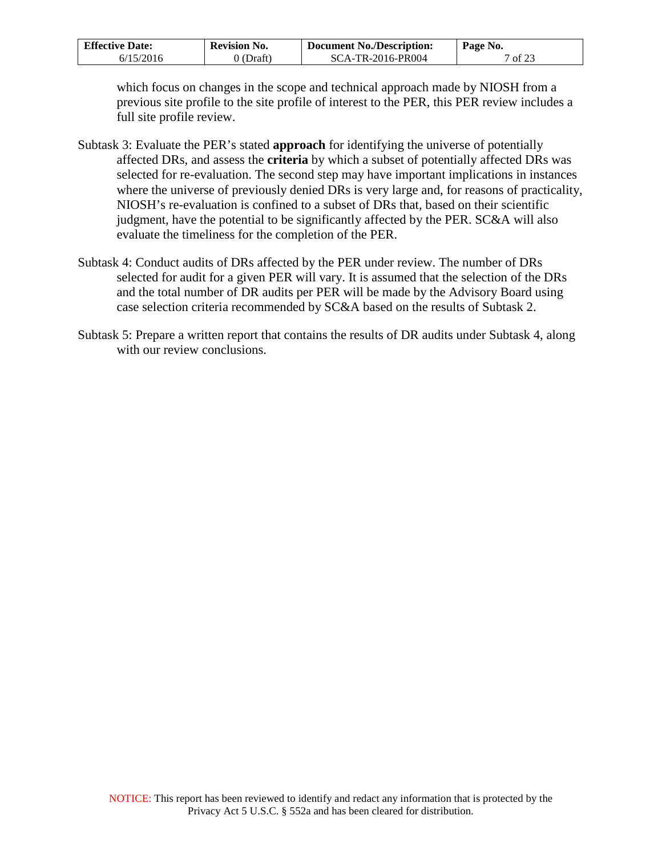| <b>Effective Date:</b> | <b>Revision No.</b> | <b>Document No./Description:</b> | Page No.       |
|------------------------|---------------------|----------------------------------|----------------|
| 6/15/2016              | 0 (Draft)           | SCA-TR-2016-PR004                | $\sigma$ of 23 |

which focus on changes in the scope and technical approach made by NIOSH from a previous site profile to the site profile of interest to the PER, this PER review includes a full site profile review.

- Subtask 3: Evaluate the PER's stated **approach** for identifying the universe of potentially affected DRs, and assess the **criteria** by which a subset of potentially affected DRs was selected for re-evaluation. The second step may have important implications in instances where the universe of previously denied DRs is very large and, for reasons of practicality, NIOSH's re-evaluation is confined to a subset of DRs that, based on their scientific judgment, have the potential to be significantly affected by the PER. SC&A will also evaluate the timeliness for the completion of the PER.
- Subtask 4: Conduct audits of DRs affected by the PER under review. The number of DRs selected for audit for a given PER will vary. It is assumed that the selection of the DRs and the total number of DR audits per PER will be made by the Advisory Board using case selection criteria recommended by SC&A based on the results of Subtask 2.
- Subtask 5: Prepare a written report that contains the results of DR audits under Subtask 4, along with our review conclusions.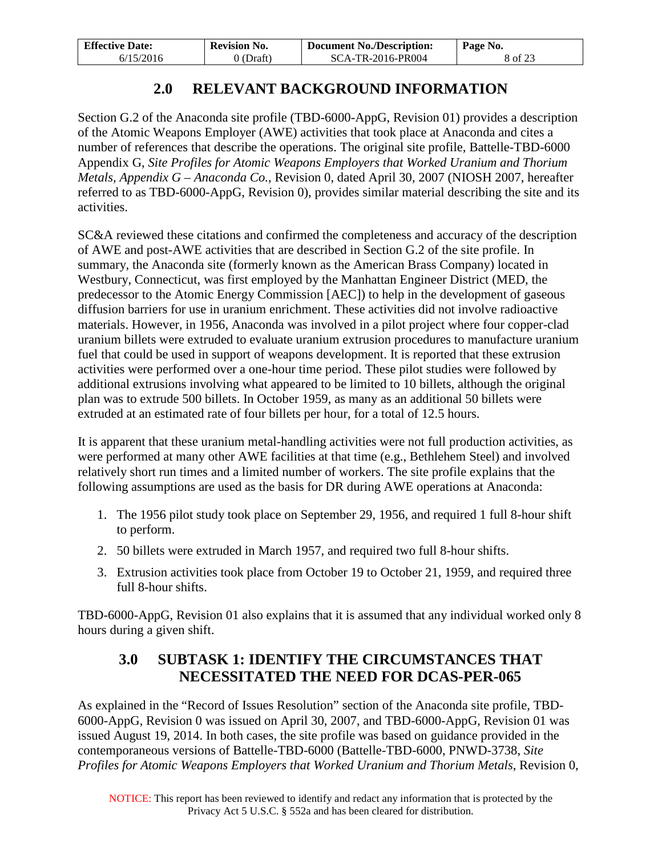| <b>Effective Date:</b> | <b>Revision No.</b> | Document No./Description: | Page No. |
|------------------------|---------------------|---------------------------|----------|
| 6/15/2016              | $0$ (Draft)         | SCA-TR-2016-PR004         | 8 of 23  |

## **2.0 RELEVANT BACKGROUND INFORMATION**

<span id="page-7-0"></span>Section G.2 of the Anaconda site profile (TBD-6000-AppG, Revision 01) provides a description of the Atomic Weapons Employer (AWE) activities that took place at Anaconda and cites a number of references that describe the operations. The original site profile, Battelle-TBD-6000 Appendix G, *Site Profiles for Atomic Weapons Employers that Worked Uranium and Thorium Metals, Appendix G – Anaconda Co.*, Revision 0, dated April 30, 2007 (NIOSH 2007, hereafter referred to as TBD-6000-AppG, Revision 0), provides similar material describing the site and its activities.

SC&A reviewed these citations and confirmed the completeness and accuracy of the description of AWE and post-AWE activities that are described in Section G.2 of the site profile. In summary, the Anaconda site (formerly known as the American Brass Company) located in Westbury, Connecticut, was first employed by the Manhattan Engineer District (MED, the predecessor to the Atomic Energy Commission [AEC]) to help in the development of gaseous diffusion barriers for use in uranium enrichment. These activities did not involve radioactive materials. However, in 1956, Anaconda was involved in a pilot project where four copper-clad uranium billets were extruded to evaluate uranium extrusion procedures to manufacture uranium fuel that could be used in support of weapons development. It is reported that these extrusion activities were performed over a one-hour time period. These pilot studies were followed by additional extrusions involving what appeared to be limited to 10 billets, although the original plan was to extrude 500 billets. In October 1959, as many as an additional 50 billets were extruded at an estimated rate of four billets per hour, for a total of 12.5 hours.

It is apparent that these uranium metal-handling activities were not full production activities, as were performed at many other AWE facilities at that time (e.g., Bethlehem Steel) and involved relatively short run times and a limited number of workers. The site profile explains that the following assumptions are used as the basis for DR during AWE operations at Anaconda:

- 1. The 1956 pilot study took place on September 29, 1956, and required 1 full 8-hour shift to perform.
- 2. 50 billets were extruded in March 1957, and required two full 8-hour shifts.
- 3. Extrusion activities took place from October 19 to October 21, 1959, and required three full 8-hour shifts.

<span id="page-7-1"></span>TBD-6000-AppG, Revision 01 also explains that it is assumed that any individual worked only 8 hours during a given shift.

## **3.0 SUBTASK 1: IDENTIFY THE CIRCUMSTANCES THAT NECESSITATED THE NEED FOR DCAS-PER-065**

As explained in the "Record of Issues Resolution" section of the Anaconda site profile, TBD-6000-AppG, Revision 0 was issued on April 30, 2007, and TBD-6000-AppG, Revision 01 was issued August 19, 2014. In both cases, the site profile was based on guidance provided in the contemporaneous versions of Battelle-TBD-6000 (Battelle-TBD-6000, PNWD-3738, *Site Profiles for Atomic Weapons Employers that Worked Uranium and Thorium Metals*, Revision 0,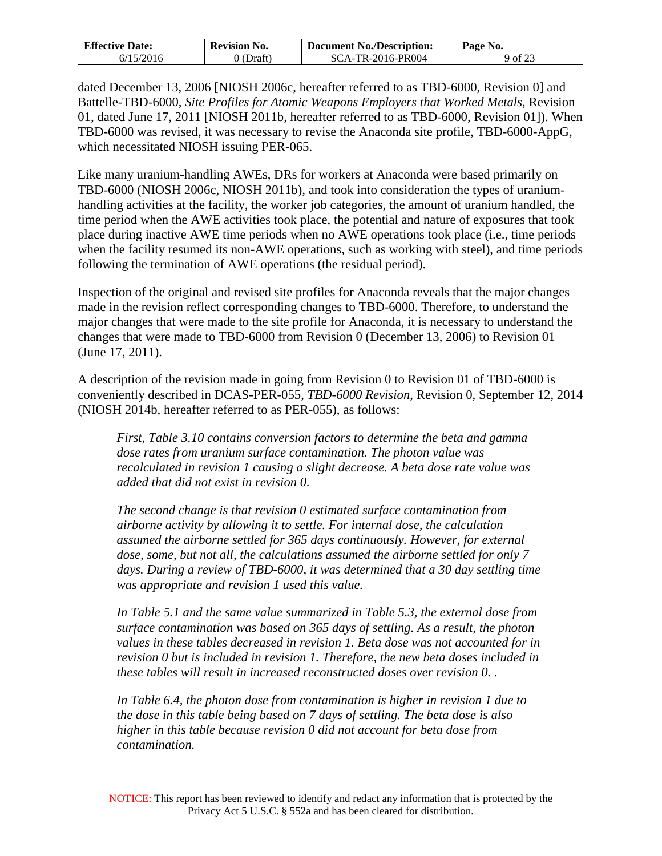| <b>Effective Date:</b> | <b>Revision No.</b> | <b>Document No./Description:</b> | Page No. |
|------------------------|---------------------|----------------------------------|----------|
| 6/15/2016              | 0 (Draft)           | SCA-TR-2016-PR004                | 9 of 23  |

dated December 13, 2006 [NIOSH 2006c, hereafter referred to as TBD-6000, Revision 0] and Battelle-TBD-6000, *Site Profiles for Atomic Weapons Employers that Worked Metals*, Revision 01, dated June 17, 2011 [NIOSH 2011b, hereafter referred to as TBD-6000, Revision 01]). When TBD-6000 was revised, it was necessary to revise the Anaconda site profile, TBD-6000-AppG, which necessitated NIOSH issuing PER-065.

Like many uranium-handling AWEs, DRs for workers at Anaconda were based primarily on TBD-6000 (NIOSH 2006c, NIOSH 2011b), and took into consideration the types of uraniumhandling activities at the facility, the worker job categories, the amount of uranium handled, the time period when the AWE activities took place, the potential and nature of exposures that took place during inactive AWE time periods when no AWE operations took place (i.e., time periods when the facility resumed its non-AWE operations, such as working with steel), and time periods following the termination of AWE operations (the residual period).

Inspection of the original and revised site profiles for Anaconda reveals that the major changes made in the revision reflect corresponding changes to TBD-6000. Therefore, to understand the major changes that were made to the site profile for Anaconda, it is necessary to understand the changes that were made to TBD-6000 from Revision 0 (December 13, 2006) to Revision 01 (June 17, 2011).

A description of the revision made in going from Revision 0 to Revision 01 of TBD-6000 is conveniently described in DCAS-PER-055, *TBD-6000 Revision*, Revision 0, September 12, 2014 (NIOSH 2014b, hereafter referred to as PER-055), as follows:

*First, Table 3.10 contains conversion factors to determine the beta and gamma dose rates from uranium surface contamination. The photon value was recalculated in revision 1 causing a slight decrease. A beta dose rate value was added that did not exist in revision 0.* 

*The second change is that revision 0 estimated surface contamination from airborne activity by allowing it to settle. For internal dose, the calculation assumed the airborne settled for 365 days continuously. However, for external dose, some, but not all, the calculations assumed the airborne settled for only 7*  days. During a review of TBD-6000, it was determined that a 30 day settling time *was appropriate and revision 1 used this value.* 

*In Table 5.1 and the same value summarized in Table 5.3, the external dose from surface contamination was based on 365 days of settling. As a result, the photon values in these tables decreased in revision 1. Beta dose was not accounted for in revision 0 but is included in revision 1. Therefore, the new beta doses included in these tables will result in increased reconstructed doses over revision 0. .* 

*In Table 6.4, the photon dose from contamination is higher in revision 1 due to the dose in this table being based on 7 days of settling. The beta dose is also higher in this table because revision 0 did not account for beta dose from contamination.*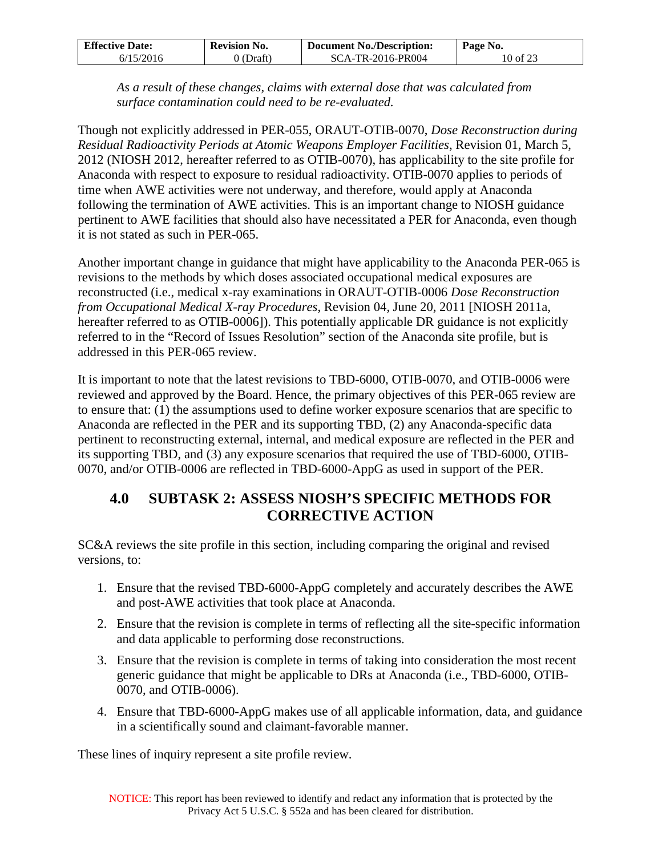| <b>Effective Date:</b> | <b>Revision No.</b> | <b>Document No./Description:</b> | Page No. |
|------------------------|---------------------|----------------------------------|----------|
| 6/15/2016              | 0 (Draft)           | SCA-TR-2016-PR004                | 10 of 23 |

*As a result of these changes, claims with external dose that was calculated from surface contamination could need to be re-evaluated.* 

Though not explicitly addressed in PER-055, ORAUT-OTIB-0070, *Dose Reconstruction during Residual Radioactivity Periods at Atomic Weapons Employer Facilities*, Revision 01, March 5, 2012 (NIOSH 2012, hereafter referred to as OTIB-0070), has applicability to the site profile for Anaconda with respect to exposure to residual radioactivity. OTIB-0070 applies to periods of time when AWE activities were not underway, and therefore, would apply at Anaconda following the termination of AWE activities. This is an important change to NIOSH guidance pertinent to AWE facilities that should also have necessitated a PER for Anaconda, even though it is not stated as such in PER-065.

Another important change in guidance that might have applicability to the Anaconda PER-065 is revisions to the methods by which doses associated occupational medical exposures are reconstructed (i.e., medical x-ray examinations in ORAUT-OTIB-0006 *Dose Reconstruction from Occupational Medical X-ray Procedures*, Revision 04, June 20, 2011 [NIOSH 2011a, hereafter referred to as OTIB-0006]). This potentially applicable DR guidance is not explicitly referred to in the "Record of Issues Resolution" section of the Anaconda site profile, but is addressed in this PER-065 review.

It is important to note that the latest revisions to TBD-6000, OTIB-0070, and OTIB-0006 were reviewed and approved by the Board. Hence, the primary objectives of this PER-065 review are to ensure that: (1) the assumptions used to define worker exposure scenarios that are specific to Anaconda are reflected in the PER and its supporting TBD, (2) any Anaconda-specific data pertinent to reconstructing external, internal, and medical exposure are reflected in the PER and its supporting TBD, and (3) any exposure scenarios that required the use of TBD-6000, OTIB-0070, and/or OTIB-0006 are reflected in TBD-6000-AppG as used in support of the PER.

## <span id="page-9-0"></span>**4.0 SUBTASK 2: ASSESS NIOSH'S SPECIFIC METHODS FOR CORRECTIVE ACTION**

SC&A reviews the site profile in this section, including comparing the original and revised versions, to:

- 1. Ensure that the revised TBD-6000-AppG completely and accurately describes the AWE and post-AWE activities that took place at Anaconda.
- 2. Ensure that the revision is complete in terms of reflecting all the site-specific information and data applicable to performing dose reconstructions.
- 3. Ensure that the revision is complete in terms of taking into consideration the most recent generic guidance that might be applicable to DRs at Anaconda (i.e., TBD-6000, OTIB-0070, and OTIB-0006).
- 4. Ensure that TBD-6000-AppG makes use of all applicable information, data, and guidance in a scientifically sound and claimant-favorable manner.

These lines of inquiry represent a site profile review.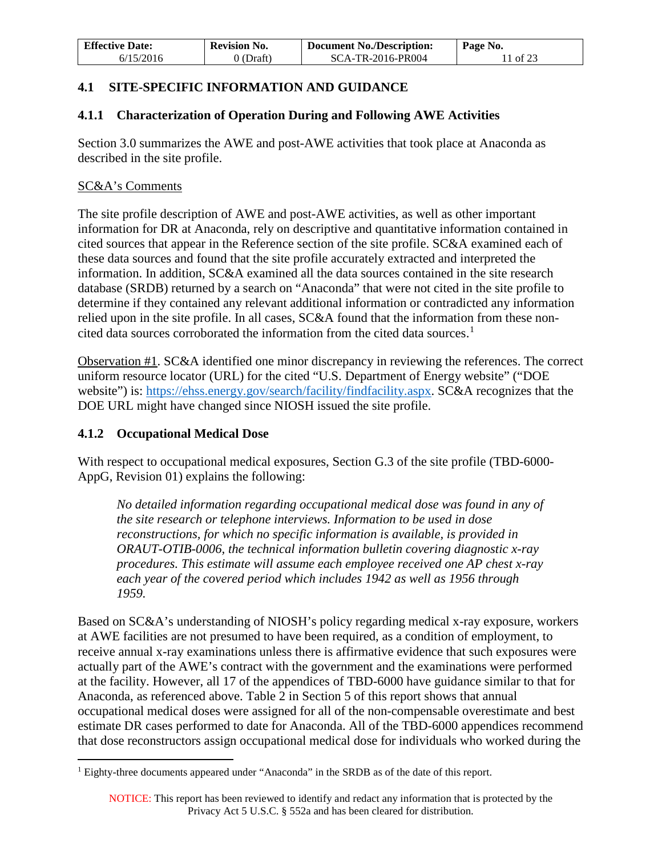| <b>Effective Date:</b><br><b>Revision No.</b> |           | <b>Document No./Description:</b> | Page No. |
|-----------------------------------------------|-----------|----------------------------------|----------|
| 6/15/2016                                     | 0 (Draft) | SCA-TR-2016-PR004                | 11 of 23 |

## <span id="page-10-0"></span>**4.1 SITE-SPECIFIC INFORMATION AND GUIDANCE**

## <span id="page-10-1"></span>**4.1.1 Characterization of Operation During and Following AWE Activities**

Section 3.0 summarizes the AWE and post-AWE activities that took place at Anaconda as described in the site profile.

#### SC&A's Comments

The site profile description of AWE and post-AWE activities, as well as other important information for DR at Anaconda, rely on descriptive and quantitative information contained in cited sources that appear in the Reference section of the site profile. SC&A examined each of these data sources and found that the site profile accurately extracted and interpreted the information. In addition, SC&A examined all the data sources contained in the site research database (SRDB) returned by a search on "Anaconda" that were not cited in the site profile to determine if they contained any relevant additional information or contradicted any information relied upon in the site profile. In all cases, SC&A found that the information from these non-cited data sources corroborated the information from the cited data sources.<sup>[1](#page-10-3)</sup>

Observation #1. SC&A identified one minor discrepancy in reviewing the references. The correct uniform resource locator (URL) for the cited "U.S. Department of Energy website" ("DOE website") is: [https://ehss.energy.gov/search/facility/findfacility.aspx.](https://ehss.energy.gov/search/facility/findfacility.aspx) SC&A recognizes that the DOE URL might have changed since NIOSH issued the site profile.

### <span id="page-10-2"></span>**4.1.2 Occupational Medical Dose**

With respect to occupational medical exposures, Section G.3 of the site profile (TBD-6000- AppG, Revision 01) explains the following:

*No detailed information regarding occupational medical dose was found in any of the site research or telephone interviews. Information to be used in dose reconstructions, for which no specific information is available, is provided in ORAUT-OTIB-0006, the technical information bulletin covering diagnostic x-ray procedures. This estimate will assume each employee received one AP chest x-ray each year of the covered period which includes 1942 as well as 1956 through 1959.* 

Based on SC&A's understanding of NIOSH's policy regarding medical x-ray exposure, workers at AWE facilities are not presumed to have been required, as a condition of employment, to receive annual x-ray examinations unless there is affirmative evidence that such exposures were actually part of the AWE's contract with the government and the examinations were performed at the facility. However, all 17 of the appendices of TBD-6000 have guidance similar to that for Anaconda, as referenced above. Table 2 in Section 5 of this report shows that annual occupational medical doses were assigned for all of the non-compensable overestimate and best estimate DR cases performed to date for Anaconda. All of the TBD-6000 appendices recommend that dose reconstructors assign occupational medical dose for individuals who worked during the

<span id="page-10-3"></span><sup>1</sup> Eighty-three documents appeared under "Anaconda" in the SRDB as of the date of this report.  $\overline{a}$ 

NOTICE: This report has been reviewed to identify and redact any information that is protected by the Privacy Act 5 U.S.C. § 552a and has been cleared for distribution.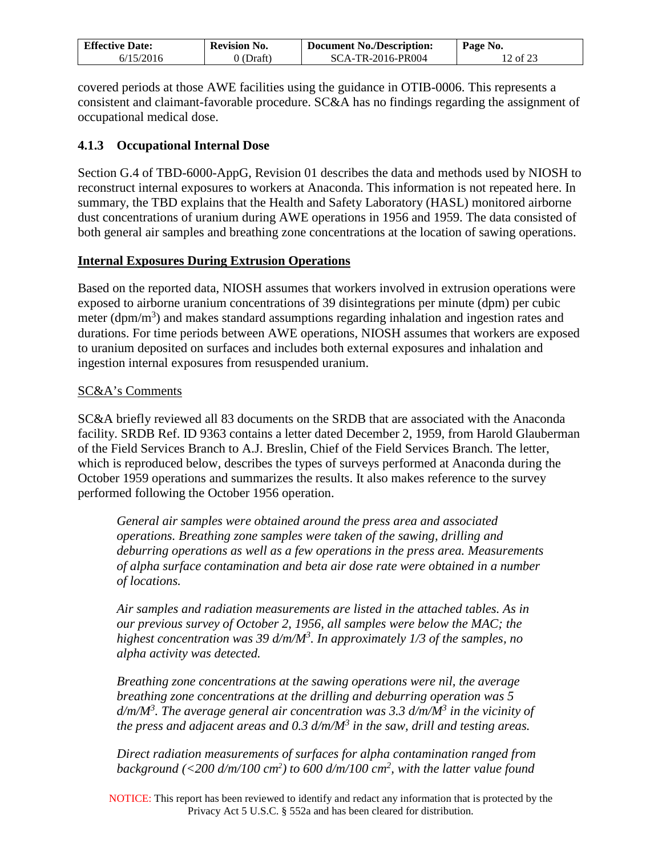| <b>Effective Date:</b> | <b>Revision No.</b> | <b>Document No./Description:</b> | Page No. |
|------------------------|---------------------|----------------------------------|----------|
| 6/15/2016              | 0 (Draft)           | SCA-TR-2016-PR004                | 12 of 23 |

covered periods at those AWE facilities using the guidance in OTIB-0006. This represents a consistent and claimant-favorable procedure. SC&A has no findings regarding the assignment of occupational medical dose.

### <span id="page-11-0"></span>**4.1.3 Occupational Internal Dose**

Section G.4 of TBD-6000-AppG, Revision 01 describes the data and methods used by NIOSH to reconstruct internal exposures to workers at Anaconda. This information is not repeated here. In summary, the TBD explains that the Health and Safety Laboratory (HASL) monitored airborne dust concentrations of uranium during AWE operations in 1956 and 1959. The data consisted of both general air samples and breathing zone concentrations at the location of sawing operations.

### **Internal Exposures During Extrusion Operations**

Based on the reported data, NIOSH assumes that workers involved in extrusion operations were exposed to airborne uranium concentrations of 39 disintegrations per minute (dpm) per cubic meter (dpm/m<sup>3</sup>) and makes standard assumptions regarding inhalation and ingestion rates and durations. For time periods between AWE operations, NIOSH assumes that workers are exposed to uranium deposited on surfaces and includes both external exposures and inhalation and ingestion internal exposures from resuspended uranium.

### SC&A's Comments

SC&A briefly reviewed all 83 documents on the SRDB that are associated with the Anaconda facility. SRDB Ref. ID 9363 contains a letter dated December 2, 1959, from Harold Glauberman of the Field Services Branch to A.J. Breslin, Chief of the Field Services Branch. The letter, which is reproduced below, describes the types of surveys performed at Anaconda during the October 1959 operations and summarizes the results. It also makes reference to the survey performed following the October 1956 operation.

*General air samples were obtained around the press area and associated operations. Breathing zone samples were taken of the sawing, drilling and deburring operations as well as a few operations in the press area. Measurements of alpha surface contamination and beta air dose rate were obtained in a number of locations.* 

*Air samples and radiation measurements are listed in the attached tables. As in our previous survey of October 2, 1956, all samples were below the MAC; the highest concentration was 39 d/m/M3 . In approximately 1/3 of the samples, no alpha activity was detected.* 

*Breathing zone concentrations at the sawing operations were nil, the average breathing zone concentrations at the drilling and deburring operation was 5 d/m/M3 . The average general air concentration was 3.3 d/m/M3 in the vicinity of the press and adjacent areas and 0.3 d/m/M3 in the saw, drill and testing areas.* 

*Direct radiation measurements of surfaces for alpha contamination ranged from background (<200 d/m/100 cm2 ) to 600 d/m/100 cm2 , with the latter value found* 

NOTICE: This report has been reviewed to identify and redact any information that is protected by the Privacy Act 5 U.S.C. § 552a and has been cleared for distribution.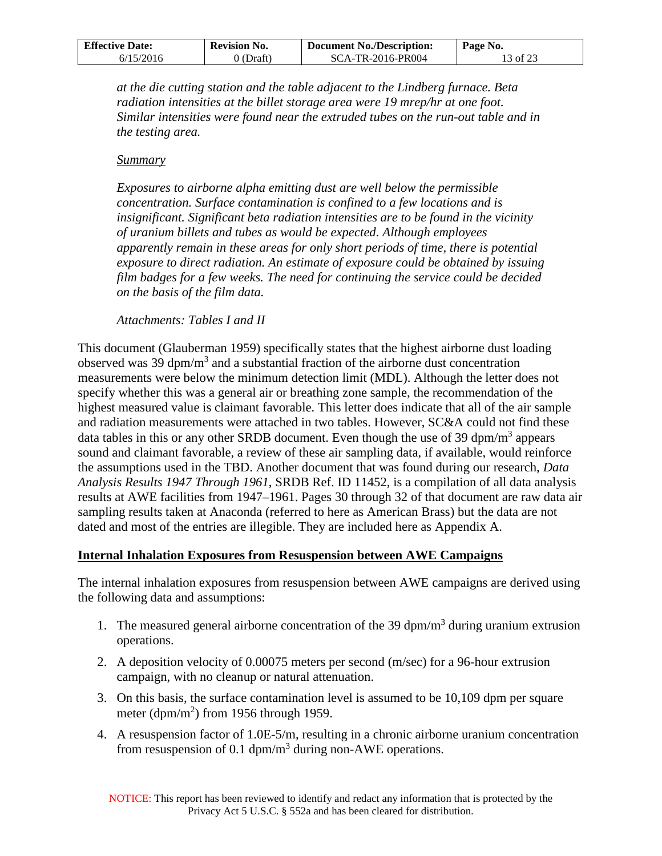| <b>Effective Date:</b><br><b>Revision No.</b> |           | <b>Document No./Description:</b> | Page No. |  |
|-----------------------------------------------|-----------|----------------------------------|----------|--|
| 6/15/2016                                     | 0 (Draft) | SCA-TR-2016-PR004                | 13 of 23 |  |

*at the die cutting station and the table adjacent to the Lindberg furnace. Beta radiation intensities at the billet storage area were 19 mrep/hr at one foot. Similar intensities were found near the extruded tubes on the run-out table and in the testing area.* 

#### *Summary*

*Exposures to airborne alpha emitting dust are well below the permissible concentration. Surface contamination is confined to a few locations and is insignificant. Significant beta radiation intensities are to be found in the vicinity of uranium billets and tubes as would be expected. Although employees apparently remain in these areas for only short periods of time, there is potential exposure to direct radiation. An estimate of exposure could be obtained by issuing film badges for a few weeks. The need for continuing the service could be decided on the basis of the film data.* 

#### *Attachments: Tables I and II*

This document (Glauberman 1959) specifically states that the highest airborne dust loading observed was 39 dpm/m<sup>3</sup> and a substantial fraction of the airborne dust concentration measurements were below the minimum detection limit (MDL). Although the letter does not specify whether this was a general air or breathing zone sample, the recommendation of the highest measured value is claimant favorable. This letter does indicate that all of the air sample and radiation measurements were attached in two tables. However, SC&A could not find these data tables in this or any other SRDB document. Even though the use of 39 dpm/ $m<sup>3</sup>$  appears sound and claimant favorable, a review of these air sampling data, if available, would reinforce the assumptions used in the TBD. Another document that was found during our research, *Data Analysis Results 1947 Through 1961*, SRDB Ref. ID 11452, is a compilation of all data analysis results at AWE facilities from 1947–1961. Pages 30 through 32 of that document are raw data air sampling results taken at Anaconda (referred to here as American Brass) but the data are not dated and most of the entries are illegible. They are included here as Appendix A.

### **Internal Inhalation Exposures from Resuspension between AWE Campaigns**

The internal inhalation exposures from resuspension between AWE campaigns are derived using the following data and assumptions:

- 1. The measured general airborne concentration of the 39 dpm/ $m<sup>3</sup>$  during uranium extrusion operations.
- 2. A deposition velocity of 0.00075 meters per second (m/sec) for a 96-hour extrusion campaign, with no cleanup or natural attenuation.
- 3. On this basis, the surface contamination level is assumed to be 10,109 dpm per square meter (dpm/m<sup>2</sup>) from 1956 through 1959.
- 4. A resuspension factor of 1.0E-5/m, resulting in a chronic airborne uranium concentration from resuspension of 0.1 dpm/m<sup>3</sup> during non-AWE operations.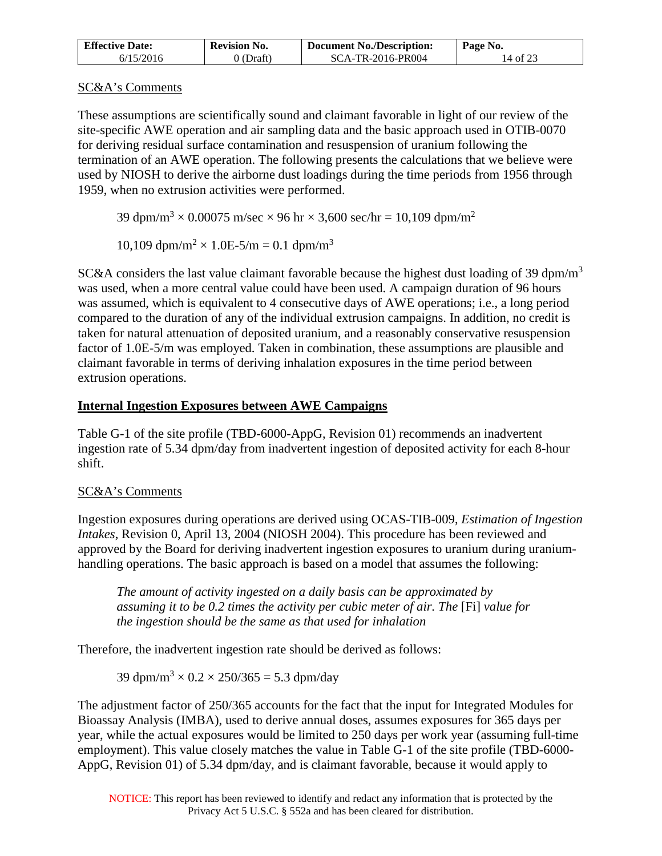| <b>Effective Date:</b> | <b>Revision No.</b> | <b>Document No./Description:</b> | Page No. |
|------------------------|---------------------|----------------------------------|----------|
| 6/15/2016              | 0 (Draft)           | SCA-TR-2016-PR004                | 14 of 23 |

## SC&A's Comments

These assumptions are scientifically sound and claimant favorable in light of our review of the site-specific AWE operation and air sampling data and the basic approach used in OTIB-0070 for deriving residual surface contamination and resuspension of uranium following the termination of an AWE operation. The following presents the calculations that we believe were used by NIOSH to derive the airborne dust loadings during the time periods from 1956 through 1959, when no extrusion activities were performed.

39 dpm/m<sup>3</sup>  $\times$  0.00075 m/sec  $\times$  96 hr  $\times$  3,600 sec/hr = 10,109 dpm/m<sup>2</sup>

10,109 dpm/m<sup>2</sup>  $\times$  1.0E-5/m = 0.1 dpm/m<sup>3</sup>

SC&A considers the last value claimant favorable because the highest dust loading of 39 dpm/m<sup>3</sup> was used, when a more central value could have been used. A campaign duration of 96 hours was assumed, which is equivalent to 4 consecutive days of AWE operations; i.e., a long period compared to the duration of any of the individual extrusion campaigns. In addition, no credit is taken for natural attenuation of deposited uranium, and a reasonably conservative resuspension factor of 1.0E-5/m was employed. Taken in combination, these assumptions are plausible and claimant favorable in terms of deriving inhalation exposures in the time period between extrusion operations.

## **Internal Ingestion Exposures between AWE Campaigns**

Table G-1 of the site profile (TBD-6000-AppG, Revision 01) recommends an inadvertent ingestion rate of 5.34 dpm/day from inadvertent ingestion of deposited activity for each 8-hour shift.

## SC&A's Comments

Ingestion exposures during operations are derived using OCAS-TIB-009, *Estimation of Ingestion Intakes*, Revision 0, April 13, 2004 (NIOSH 2004). This procedure has been reviewed and approved by the Board for deriving inadvertent ingestion exposures to uranium during uraniumhandling operations. The basic approach is based on a model that assumes the following:

*The amount of activity ingested on a daily basis can be approximated by assuming it to be 0.2 times the activity per cubic meter of air. The* [Fi] *value for the ingestion should be the same as that used for inhalation* 

Therefore, the inadvertent ingestion rate should be derived as follows:

39 dpm/m<sup>3</sup>  $\times$  0.2  $\times$  250/365 = 5.3 dpm/day

The adjustment factor of 250/365 accounts for the fact that the input for Integrated Modules for Bioassay Analysis (IMBA), used to derive annual doses, assumes exposures for 365 days per year, while the actual exposures would be limited to 250 days per work year (assuming full-time employment). This value closely matches the value in Table G-1 of the site profile (TBD-6000- AppG, Revision 01) of 5.34 dpm/day, and is claimant favorable, because it would apply to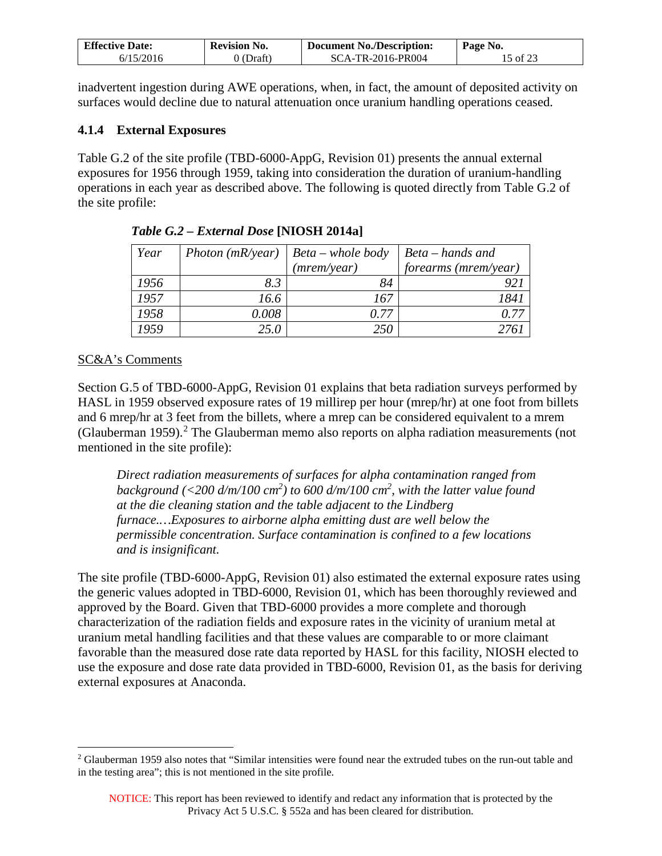| <b>Effective Date:</b> | Revision No. | <b>Document No./Description:</b> | Page No. |
|------------------------|--------------|----------------------------------|----------|
| 6/15/2016              | $0$ (Draft)  | SCA-TR-2016-PR004                | 15 of 23 |

inadvertent ingestion during AWE operations, when, in fact, the amount of deposited activity on surfaces would decline due to natural attenuation once uranium handling operations ceased.

### <span id="page-14-0"></span>**4.1.4 External Exposures**

Table G.2 of the site profile (TBD-6000-AppG, Revision 01) presents the annual external exposures for 1956 through 1959, taking into consideration the duration of uranium-handling operations in each year as described above. The following is quoted directly from Table G.2 of the site profile:

| Year | Photon $(mR\text{/year})$ | $Beta - whole$ body | Beta – hands and     |
|------|---------------------------|---------------------|----------------------|
|      |                           | (mrem/year)         | forearms (mrem/year) |
| 1956 | 8.3                       | 84                  |                      |
| 1957 | 16.6                      | 167                 | 1841                 |
| 1958 | 0.008                     | በ 77                | 0.77                 |
| 1959 | 25.0                      | 250                 |                      |

*Table G.2 – External Dose* **[NIOSH 2014a]** 

### SC&A's Comments

Section G.5 of TBD-6000-AppG, Revision 01 explains that beta radiation surveys performed by HASL in 1959 observed exposure rates of 19 millirep per hour (mrep/hr) at one foot from billets and 6 mrep/hr at 3 feet from the billets, where a mrep can be considered equivalent to a mrem (Glauberman 1959).<sup>[2](#page-14-1)</sup> The Glauberman memo also reports on alpha radiation measurements (not mentioned in the site profile):

*Direct radiation measurements of surfaces for alpha contamination ranged from background (<200 d/m/100 cm2 ) to 600 d/m/100 cm2 , with the latter value found at the die cleaning station and the table adjacent to the Lindberg furnace.…Exposures to airborne alpha emitting dust are well below the permissible concentration. Surface contamination is confined to a few locations and is insignificant.* 

The site profile (TBD-6000-AppG, Revision 01) also estimated the external exposure rates using the generic values adopted in TBD-6000, Revision 01, which has been thoroughly reviewed and approved by the Board. Given that TBD-6000 provides a more complete and thorough characterization of the radiation fields and exposure rates in the vicinity of uranium metal at uranium metal handling facilities and that these values are comparable to or more claimant favorable than the measured dose rate data reported by HASL for this facility, NIOSH elected to use the exposure and dose rate data provided in TBD-6000, Revision 01, as the basis for deriving external exposures at Anaconda.

<span id="page-14-1"></span><sup>&</sup>lt;sup>2</sup> Glauberman 1959 also notes that "Similar intensities were found near the extruded tubes on the run-out table and in the testing area"; this is not mentioned in the site profile.  $\overline{a}$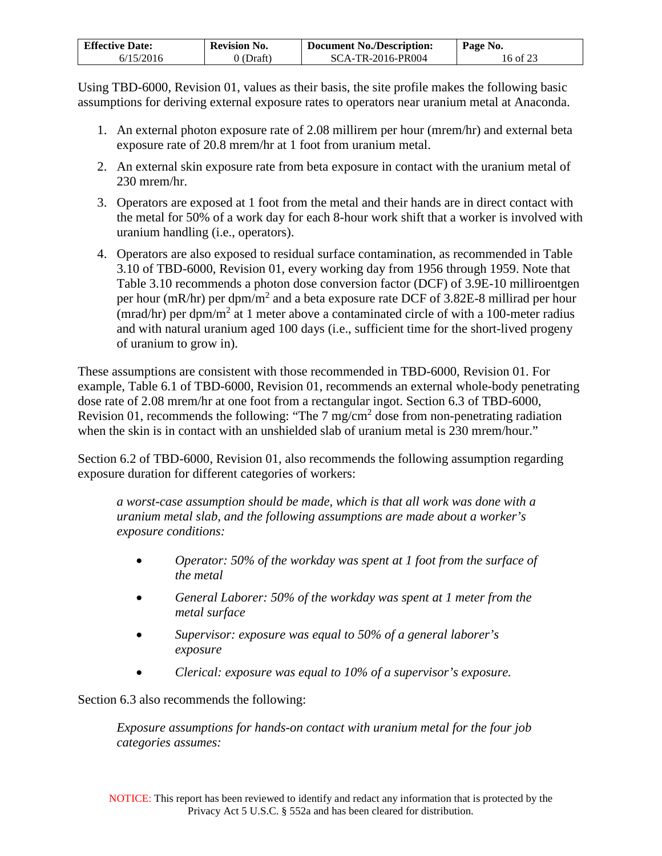| <b>Effective Date:</b> | <b>Revision No.</b> | <b>Document No./Description:</b> | Page No. |
|------------------------|---------------------|----------------------------------|----------|
| 6/15/2016              | 9 (Draft)           | SCA-TR-2016-PR004                | 16 of 23 |

Using TBD-6000, Revision 01, values as their basis, the site profile makes the following basic assumptions for deriving external exposure rates to operators near uranium metal at Anaconda.

- 1. An external photon exposure rate of 2.08 millirem per hour (mrem/hr) and external beta exposure rate of 20.8 mrem/hr at 1 foot from uranium metal.
- 2. An external skin exposure rate from beta exposure in contact with the uranium metal of 230 mrem/hr.
- 3. Operators are exposed at 1 foot from the metal and their hands are in direct contact with the metal for 50% of a work day for each 8-hour work shift that a worker is involved with uranium handling (i.e., operators).
- 4. Operators are also exposed to residual surface contamination, as recommended in Table 3.10 of TBD-6000, Revision 01, every working day from 1956 through 1959. Note that Table 3.10 recommends a photon dose conversion factor (DCF) of 3.9E-10 milliroentgen per hour (mR/hr) per dpm/m<sup>2</sup> and a beta exposure rate DCF of 3.82E-8 millirad per hour (mrad/hr) per dpm/m<sup>2</sup> at 1 meter above a contaminated circle of with a 100-meter radius and with natural uranium aged 100 days (i.e., sufficient time for the short-lived progeny of uranium to grow in).

These assumptions are consistent with those recommended in TBD-6000, Revision 01. For example, Table 6.1 of TBD-6000, Revision 01, recommends an external whole-body penetrating dose rate of 2.08 mrem/hr at one foot from a rectangular ingot. Section 6.3 of TBD-6000, Revision 01, recommends the following: "The  $7 \text{ mg/cm}^2$  dose from non-penetrating radiation when the skin is in contact with an unshielded slab of uranium metal is 230 mrem/hour."

Section 6.2 of TBD-6000, Revision 01, also recommends the following assumption regarding exposure duration for different categories of workers:

*a worst-case assumption should be made, which is that all work was done with a uranium metal slab, and the following assumptions are made about a worker's exposure conditions:* 

- *Operator: 50% of the workday was spent at 1 foot from the surface of the metal*
- *General Laborer: 50% of the workday was spent at 1 meter from the metal surface*
- *Supervisor: exposure was equal to 50% of a general laborer's exposure*
- *Clerical: exposure was equal to 10% of a supervisor's exposure.*

Section 6.3 also recommends the following:

*Exposure assumptions for hands-on contact with uranium metal for the four job categories assumes:*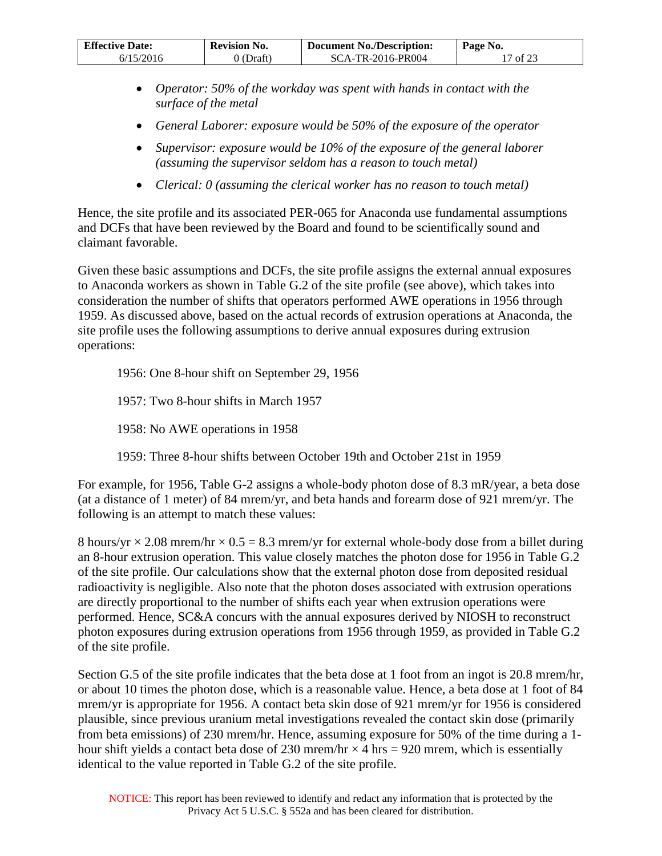| <b>Effective Date:</b> | <b>Revision No.</b> | <b>Document No./Description:</b> | Page No. |
|------------------------|---------------------|----------------------------------|----------|
| 6/15/2016              | $0$ (Draft)         | SCA-TR-2016-PR004                | 17 of 23 |

- *Operator: 50% of the workday was spent with hands in contact with the surface of the metal*
- *General Laborer: exposure would be 50% of the exposure of the operator*
- *Supervisor: exposure would be 10% of the exposure of the general laborer (assuming the supervisor seldom has a reason to touch metal)*
- *Clerical: 0 (assuming the clerical worker has no reason to touch metal)*

Hence, the site profile and its associated PER-065 for Anaconda use fundamental assumptions and DCFs that have been reviewed by the Board and found to be scientifically sound and claimant favorable.

Given these basic assumptions and DCFs, the site profile assigns the external annual exposures to Anaconda workers as shown in Table G.2 of the site profile (see above), which takes into consideration the number of shifts that operators performed AWE operations in 1956 through 1959. As discussed above, based on the actual records of extrusion operations at Anaconda, the site profile uses the following assumptions to derive annual exposures during extrusion operations:

1956: One 8-hour shift on September 29, 1956

1957: Two 8-hour shifts in March 1957

1958: No AWE operations in 1958

1959: Three 8-hour shifts between October 19th and October 21st in 1959

For example, for 1956, Table G-2 assigns a whole-body photon dose of 8.3 mR/year, a beta dose (at a distance of 1 meter) of 84 mrem/yr, and beta hands and forearm dose of 921 mrem/yr. The following is an attempt to match these values:

8 hours/yr  $\times$  2.08 mrem/hr  $\times$  0.5 = 8.3 mrem/yr for external whole-body dose from a billet during an 8-hour extrusion operation. This value closely matches the photon dose for 1956 in Table G.2 of the site profile. Our calculations show that the external photon dose from deposited residual radioactivity is negligible. Also note that the photon doses associated with extrusion operations are directly proportional to the number of shifts each year when extrusion operations were performed. Hence, SC&A concurs with the annual exposures derived by NIOSH to reconstruct photon exposures during extrusion operations from 1956 through 1959, as provided in Table G.2 of the site profile.

Section G.5 of the site profile indicates that the beta dose at 1 foot from an ingot is 20.8 mrem/hr, or about 10 times the photon dose, which is a reasonable value. Hence, a beta dose at 1 foot of 84 mrem/yr is appropriate for 1956. A contact beta skin dose of 921 mrem/yr for 1956 is considered plausible, since previous uranium metal investigations revealed the contact skin dose (primarily from beta emissions) of 230 mrem/hr. Hence, assuming exposure for 50% of the time during a 1 hour shift yields a contact beta dose of 230 mrsm/hr  $\times$  4 hrs = 920 mrsm, which is essentially identical to the value reported in Table G.2 of the site profile.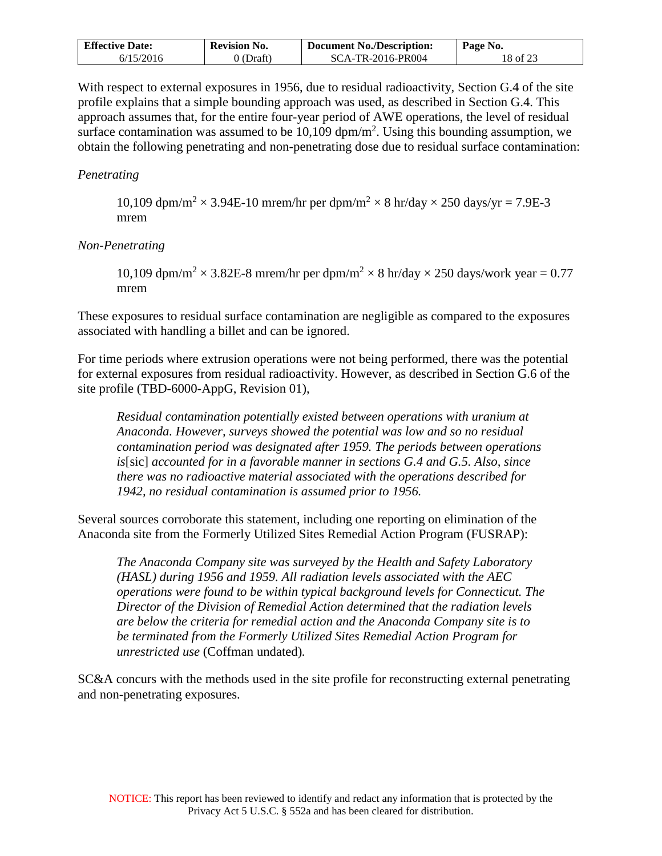| <b>Effective Date:</b> | <b>Revision No.</b> | <b>Document No./Description:</b> | Page No. |
|------------------------|---------------------|----------------------------------|----------|
| 6/15/2016              | 0 (Draft)           | SCA-TR-2016-PR004                | 18 of 23 |

With respect to external exposures in 1956, due to residual radioactivity, Section G.4 of the site profile explains that a simple bounding approach was used, as described in Section G.4. This approach assumes that, for the entire four-year period of AWE operations, the level of residual surface contamination was assumed to be  $10,109$  dpm/m<sup>2</sup>. Using this bounding assumption, we obtain the following penetrating and non-penetrating dose due to residual surface contamination:

### *Penetrating*

10,109 dpm/m<sup>2</sup>  $\times$  3.94E-10 mrem/hr per dpm/m<sup>2</sup>  $\times$  8 hr/day  $\times$  250 days/yr = 7.9E-3 mrem

#### *Non-Penetrating*

10,109 dpm/m<sup>2</sup>  $\times$  3.82E-8 mrem/hr per dpm/m<sup>2</sup>  $\times$  8 hr/day  $\times$  250 days/work year = 0.77 mrem

These exposures to residual surface contamination are negligible as compared to the exposures associated with handling a billet and can be ignored.

For time periods where extrusion operations were not being performed, there was the potential for external exposures from residual radioactivity. However, as described in Section G.6 of the site profile (TBD-6000-AppG, Revision 01),

*Residual contamination potentially existed between operations with uranium at Anaconda. However, surveys showed the potential was low and so no residual contamination period was designated after 1959. The periods between operations is*[sic] *accounted for in a favorable manner in sections G.4 and G.5. Also, since there was no radioactive material associated with the operations described for 1942, no residual contamination is assumed prior to 1956.*

Several sources corroborate this statement, including one reporting on elimination of the Anaconda site from the Formerly Utilized Sites Remedial Action Program (FUSRAP):

*The Anaconda Company site was surveyed by the Health and Safety Laboratory (HASL) during 1956 and 1959. All radiation levels associated with the AEC operations were found to be within typical background levels for Connecticut. The Director of the Division of Remedial Action determined that the radiation levels are below the criteria for remedial action and the Anaconda Company site is to be terminated from the Formerly Utilized Sites Remedial Action Program for unrestricted use* (Coffman undated)*.* 

SC&A concurs with the methods used in the site profile for reconstructing external penetrating and non-penetrating exposures.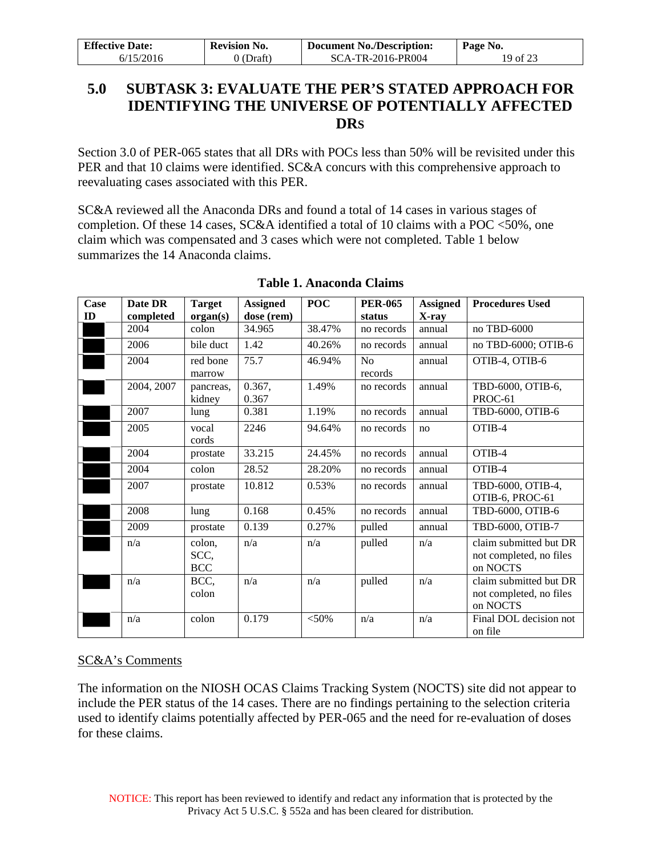| <b>Effective Date:</b> | <b>Revision No.</b> | <b>Document No./Description:</b> | Page No. |
|------------------------|---------------------|----------------------------------|----------|
| 6/15/2016              | $0$ (Draft)         | SCA-TR-2016-PR004                | 19 of 23 |

## <span id="page-18-0"></span>**5.0 SUBTASK 3: EVALUATE THE PER'S STATED APPROACH FOR IDENTIFYING THE UNIVERSE OF POTENTIALLY AFFECTED DRS**

Section 3.0 of PER-065 states that all DRs with POCs less than 50% will be revisited under this PER and that 10 claims were identified. SC&A concurs with this comprehensive approach to reevaluating cases associated with this PER.

SC&A reviewed all the Anaconda DRs and found a total of 14 cases in various stages of completion. Of these 14 cases, SC&A identified a total of 10 claims with a POC <50%, one claim which was compensated and 3 cases which were not completed. Table 1 below summarizes the 14 Anaconda claims.

| Case<br>ID | Date DR<br>completed | <b>Target</b><br>organ(s)    | <b>Assigned</b><br>dose (rem) | <b>POC</b> | <b>PER-065</b><br>status  | <b>Assigned</b><br>X-ray | <b>Procedures Used</b>                                        |
|------------|----------------------|------------------------------|-------------------------------|------------|---------------------------|--------------------------|---------------------------------------------------------------|
|            | 2004                 | colon                        | 34.965                        | 38.47%     | no records                | annual                   | no TBD-6000                                                   |
|            | 2006                 | bile duct                    | 1.42                          | 40.26%     | no records                | annual                   | no TBD-6000; OTIB-6                                           |
|            | 2004                 | red bone<br>marrow           | 75.7                          | 46.94%     | N <sub>0</sub><br>records | annual                   | OTIB-4, OTIB-6                                                |
|            | 2004, 2007           | pancreas,<br>kidney          | 0.367,<br>0.367               | 1.49%      | no records                | annual                   | TBD-6000, OTIB-6,<br>PROC-61                                  |
|            | 2007                 | lung                         | 0.381                         | 1.19%      | no records                | annual                   | TBD-6000, OTIB-6                                              |
|            | 2005                 | vocal<br>cords               | 2246                          | 94.64%     | no records                | no                       | OTIB-4                                                        |
|            | 2004                 | prostate                     | 33.215                        | 24.45%     | no records                | annual                   | OTIB-4                                                        |
|            | 2004                 | colon                        | 28.52                         | 28.20%     | no records                | annual                   | OTIB-4                                                        |
|            | 2007                 | prostate                     | 10.812                        | 0.53%      | no records                | annual                   | TBD-6000, OTIB-4,<br>OTIB-6, PROC-61                          |
|            | 2008                 | lung                         | 0.168                         | 0.45%      | no records                | annual                   | TBD-6000, OTIB-6                                              |
|            | 2009                 | prostate                     | 0.139                         | 0.27%      | pulled                    | annual                   | TBD-6000, OTIB-7                                              |
|            | n/a                  | colon,<br>SCC,<br><b>BCC</b> | n/a                           | n/a        | pulled                    | n/a                      | claim submitted but DR<br>not completed, no files<br>on NOCTS |
|            | n/a                  | BCC,<br>colon                | n/a                           | n/a        | pulled                    | n/a                      | claim submitted but DR<br>not completed, no files<br>on NOCTS |
|            | n/a                  | colon                        | 0.179                         | $<$ 50%    | n/a                       | n/a                      | Final DOL decision not<br>on file                             |

## **Table 1. Anaconda Claims**

## SC&A's Comments

The information on the NIOSH OCAS Claims Tracking System (NOCTS) site did not appear to include the PER status of the 14 cases. There are no findings pertaining to the selection criteria used to identify claims potentially affected by PER-065 and the need for re-evaluation of doses for these claims.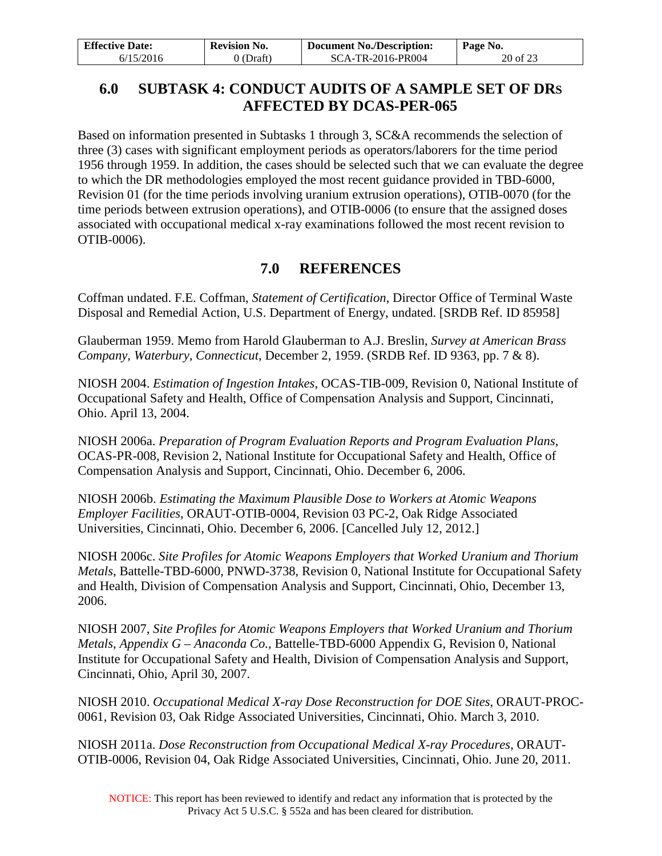| <b>Effective Date:</b> | <b>Revision No.</b> | <b>Document No./Description:</b> | Page No. |
|------------------------|---------------------|----------------------------------|----------|
| 6/15/2016              | 0 (Draft)           | SCA-TR-2016-PR004                | 20 of 23 |

## <span id="page-19-0"></span>**6.0 SUBTASK 4: CONDUCT AUDITS OF A SAMPLE SET OF DRS AFFECTED BY DCAS-PER-065**

Based on information presented in Subtasks 1 through 3, SC&A recommends the selection of three (3) cases with significant employment periods as operators/laborers for the time period 1956 through 1959. In addition, the cases should be selected such that we can evaluate the degree to which the DR methodologies employed the most recent guidance provided in TBD-6000, Revision 01 (for the time periods involving uranium extrusion operations), OTIB-0070 (for the time periods between extrusion operations), and OTIB-0006 (to ensure that the assigned doses associated with occupational medical x-ray examinations followed the most recent revision to OTIB-0006).

## **7.0 REFERENCES**

<span id="page-19-1"></span>Coffman undated. F.E. Coffman, *Statement of Certification*, Director Office of Terminal Waste Disposal and Remedial Action, U.S. Department of Energy, undated. [SRDB Ref. ID 85958]

Glauberman 1959. Memo from Harold Glauberman to A.J. Breslin, *Survey at American Brass Company, Waterbury, Connecticut*, December 2, 1959. (SRDB Ref. ID 9363, pp. 7 & 8).

NIOSH 2004. *Estimation of Ingestion Intakes*, OCAS-TIB-009, Revision 0, National Institute of Occupational Safety and Health, Office of Compensation Analysis and Support, Cincinnati, Ohio. April 13, 2004.

NIOSH 2006a. *Preparation of Program Evaluation Reports and Program Evaluation Plans*, OCAS-PR-008, Revision 2, National Institute for Occupational Safety and Health, Office of Compensation Analysis and Support, Cincinnati, Ohio. December 6, 2006.

NIOSH 2006b. *Estimating the Maximum Plausible Dose to Workers at Atomic Weapons Employer Facilities*, ORAUT-OTIB-0004, Revision 03 PC-2, Oak Ridge Associated Universities, Cincinnati, Ohio. December 6, 2006. [Cancelled July 12, 2012.]

NIOSH 2006c. *Site Profiles for Atomic Weapons Employers that Worked Uranium and Thorium Metals*, Battelle-TBD-6000, PNWD-3738, Revision 0, National Institute for Occupational Safety and Health, Division of Compensation Analysis and Support, Cincinnati, Ohio, December 13, 2006.

NIOSH 2007, *Site Profiles for Atomic Weapons Employers that Worked Uranium and Thorium Metals, Appendix G – Anaconda Co.*, Battelle-TBD-6000 Appendix G, Revision 0, National Institute for Occupational Safety and Health, Division of Compensation Analysis and Support, Cincinnati, Ohio, April 30, 2007.

NIOSH 2010. *Occupational Medical X-ray Dose Reconstruction for DOE Sites*, ORAUT-PROC-0061, Revision 03, Oak Ridge Associated Universities, Cincinnati, Ohio. March 3, 2010.

NIOSH 2011a. *Dose Reconstruction from Occupational Medical X-ray Procedures*, ORAUT-OTIB-0006, Revision 04, Oak Ridge Associated Universities, Cincinnati, Ohio. June 20, 2011.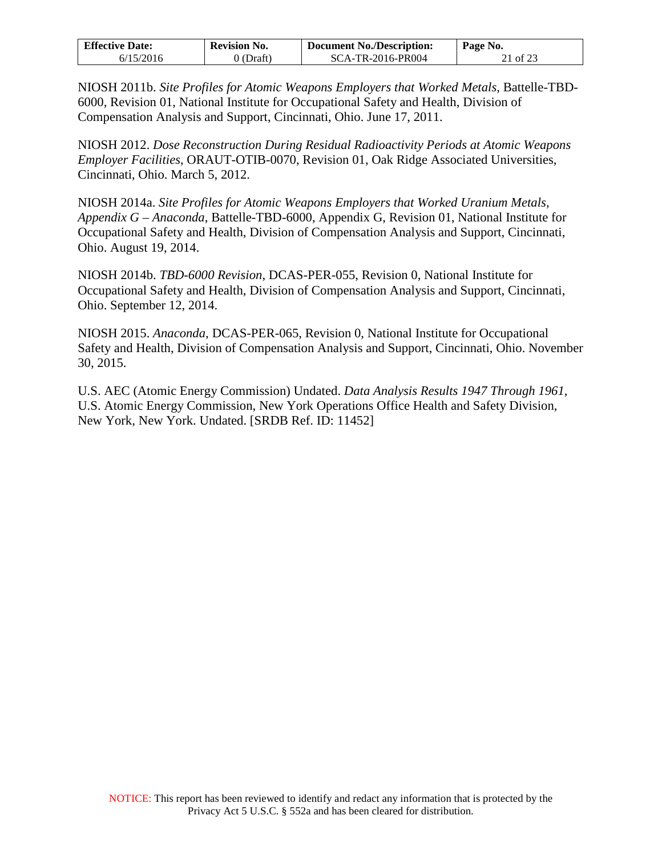| <b>Effective Date:</b> | <b>Revision No.</b> | <b>Document No./Description:</b> | Page No. |
|------------------------|---------------------|----------------------------------|----------|
| 6/15/2016              | 0 (Draft)           | SCA-TR-2016-PR004                | 21 of 23 |

NIOSH 2011b. *Site Profiles for Atomic Weapons Employers that Worked Metals*, Battelle-TBD-6000, Revision 01, National Institute for Occupational Safety and Health, Division of Compensation Analysis and Support, Cincinnati, Ohio. June 17, 2011.

NIOSH 2012. *Dose Reconstruction During Residual Radioactivity Periods at Atomic Weapons Employer Facilities*, ORAUT-OTIB-0070, Revision 01, Oak Ridge Associated Universities, Cincinnati, Ohio. March 5, 2012.

NIOSH 2014a. *Site Profiles for Atomic Weapons Employers that Worked Uranium Metals, Appendix G – Anaconda*, Battelle-TBD-6000, Appendix G, Revision 01, National Institute for Occupational Safety and Health, Division of Compensation Analysis and Support, Cincinnati, Ohio. August 19, 2014.

NIOSH 2014b. *TBD-6000 Revision*, DCAS-PER-055, Revision 0, National Institute for Occupational Safety and Health, Division of Compensation Analysis and Support, Cincinnati, Ohio. September 12, 2014.

NIOSH 2015. *Anaconda*, DCAS-PER-065, Revision 0, National Institute for Occupational Safety and Health, Division of Compensation Analysis and Support, Cincinnati, Ohio. November 30, 2015.

U.S. AEC (Atomic Energy Commission) Undated. *Data Analysis Results 1947 Through 1961*, U.S. Atomic Energy Commission, New York Operations Office Health and Safety Division, New York, New York. Undated. [SRDB Ref. ID: 11452]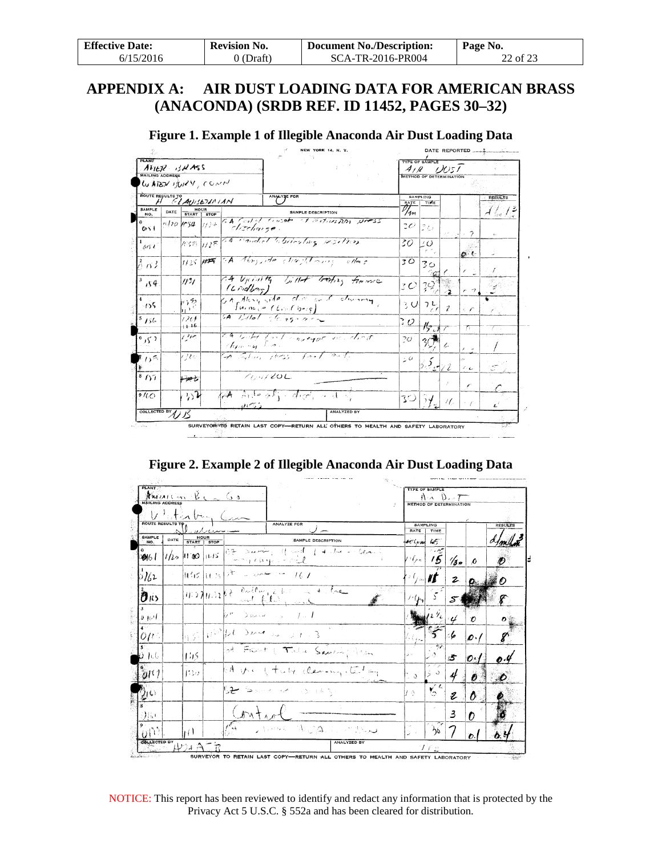| <b>Effective Date:</b> | <b>Revision No.</b> | <b>Document No./Description:</b> | Page No. |
|------------------------|---------------------|----------------------------------|----------|
| 6/15/2016              | 0 (Draft)           | SCA-TR-2016-PR004                | 22 of 23 |

## <span id="page-21-0"></span>**APPENDIX A: AIR DUST LOADING DATA FOR AMERICAN BRASS (ANACONDA) (SRDB REF. ID 11452, PAGES 30–32)**

|  |  | Figure 1. Example 1 of Illegible Anaconda Air Dust Loading Data |
|--|--|-----------------------------------------------------------------|
|  |  |                                                                 |

| <b>PLANT</b><br>ATTER BUNGS                |             |                                   |             |            |           |                                               |                             |                                       |  |                                               | <b>TYPE OF SAMPLE</b><br>A/R<br>79051 |              |                               |                |  |  |  |
|--------------------------------------------|-------------|-----------------------------------|-------------|------------|-----------|-----------------------------------------------|-----------------------------|---------------------------------------|--|-----------------------------------------------|---------------------------------------|--------------|-------------------------------|----------------|--|--|--|
| <b>MAILING ADDRESS</b><br>WATER JURY, CONN |             |                                   |             |            |           |                                               |                             |                                       |  | METHOD OF DETERMINATION                       |                                       |              |                               |                |  |  |  |
| ROUTE RESULTS TO ANISETAN IAN              |             |                                   |             |            |           | ANALYZE FOR                                   |                             |                                       |  |                                               | <b>SAMPLING</b><br>TIME               |              |                               | <b>RESULTS</b> |  |  |  |
| <b>SAMPLE</b><br>NO.                       | DATE        | START                             | <b>STOP</b> |            |           |                                               | <b>SAMPLE DESCRIPTION</b>   |                                       |  | $\widehat{\mathscr{D}}_{4n}^{\overline{\mu}}$ |                                       |              |                               | شیر که برای که |  |  |  |
| 0.51                                       | $120$ $154$ |                                   | $113 +$     |            |           |                                               |                             | GA Central Console of exclusion press |  | $30^{\circ}$                                  | ぽひ                                    |              | ラ                             |                |  |  |  |
| 5151                                       |             |                                   |             |            |           | 155 1128 and condect historicaling resolvers  |                             |                                       |  | 30                                            | 20                                    |              | $\mathbf{o} \cdot \mathbf{c}$ |                |  |  |  |
| $^{2}_{0.03}$                              |             | $1125$ ##                         |             |            |           | GA Abrigade climatomary                       |                             | $\mathscr{A}$                         |  | 30                                            | 30                                    |              |                               | Æ              |  |  |  |
| 154                                        |             | $^{\prime\prime\prime}$           |             | (Lndborg)  |           |                                               |                             | at Upinity billet brating transvere   |  | 30.                                           | 39.                                   |              | $\rightarrow$                 |                |  |  |  |
| 155                                        |             | りゅう<br>$\rightarrow$ <sup>t</sup> |             |            |           | $f$ uince (Chin Choig)                        |                             | continues who did not during          |  | 3 UI                                          | $2\frac{L}{\epsilon}$                 | $\mathcal I$ | $\epsilon$ if                 |                |  |  |  |
| 156                                        |             | 120F<br>(1, 16)                   |             |            |           | LA Billet sterage are                         |                             |                                       |  | $\partial$                                    | $#_{\mathcal{F},s}$                   |              | 77                            |                |  |  |  |
| 6,5.7                                      |             | 1300                              |             | themay has |           |                                               |                             | CA looked for l'enverger vic. client  |  | 20                                            |                                       |              |                               |                |  |  |  |
| $D^5$                                      |             | i ne                              |             |            |           | A School photos front                         | $\mathcal{P}_{\mathcal{M}}$ |                                       |  | 30                                            | B.F. 122                              |              | а.<br>$\epsilon$              |                |  |  |  |
| 8/17                                       |             | ينصينه                            |             |            | $T$ MILOL |                                               |                             |                                       |  |                                               |                                       | 2            | v                             |                |  |  |  |
| 9/10                                       |             | 32                                |             | an Cal     |           | $\mathbb{A}$ Arde all digits and $\mathbb{Q}$ |                             |                                       |  |                                               | $30\overline{54}$                     | U.           | $\sim$ $\times$               |                |  |  |  |
| COLLECTED BY 15                            |             |                                   |             |            |           |                                               |                             | <b>ANALYZED BY</b>                    |  |                                               |                                       |              |                               |                |  |  |  |

**Figure 2. Example 2 of Illegible Anaconda Air Dust Loading Data** 

| <b>PLANT</b><br>$\mathbf{Fw}$ <i>Muttim</i> $\mathbf{B}_{1} = \mathbf{G}$<br><b>MAILING ADDRESS</b> |      |                                                    |        |                         |                                                                                                                                                                                                                                          | <b>TYPE OF SAMPLE</b><br>0.7<br>A: A<br>METHOD OF DETERMINATION |                    |                              |                              |                  |                       |         |
|-----------------------------------------------------------------------------------------------------|------|----------------------------------------------------|--------|-------------------------|------------------------------------------------------------------------------------------------------------------------------------------------------------------------------------------------------------------------------------------|-----------------------------------------------------------------|--------------------|------------------------------|------------------------------|------------------|-----------------------|---------|
| <b>ROUTE RESULTS TO</b>                                                                             |      |                                                    |        |                         |                                                                                                                                                                                                                                          |                                                                 |                    |                              |                              |                  |                       |         |
|                                                                                                     |      |                                                    | at dan |                         | <b>ANALYZE FOR</b>                                                                                                                                                                                                                       |                                                                 |                    | RATE                         | SAMPLING<br>TIME             |                  |                       | RESULTS |
| <b>SAMPLE</b><br>NO.                                                                                | DATE | HOUR<br>START   STOP                               |        |                         |                                                                                                                                                                                                                                          | <b>SAMPLE DESCRIPTION</b>                                       |                    | dir Cugal                    | us                           |                  |                       |         |
| 016 I                                                                                               |      | $1/20$ $11'80$ $11/15$                             |        |                         | $ 0.3 - \Sigma_{\rm{max}}  \leq 1$ and<br>Completely so mel                                                                                                                                                                              |                                                                 | of 4 she is cleans | $\left  \rho_{\ell} \right $ | $\tilde{\tilde{\mathbf{5}}}$ | $\frac{1}{3}$    | $\boldsymbol{\theta}$ |         |
| ے ک∕ا ز                                                                                             |      | $\frac{1}{2}$ li (16 $\frac{1}{2}$ ) $\frac{1}{2}$ |        | ستدبرية الا             | - 16. 1                                                                                                                                                                                                                                  |                                                                 |                    | やりゅば                         |                              | $\boldsymbol{z}$ |                       |         |
| O11>                                                                                                |      |                                                    |        |                         | $(\mu, \nu)_{\{1, \cdot\}}\beta\in \frac{\partial_{\nu\alpha}(\ell_{\nu\alpha})_{\alpha\beta}}{\partial_{\nu\alpha}(\ell_{\nu\alpha})_{\beta}}\beta_{\alpha}(\ell_{\nu\alpha})_{\alpha\alpha}+ \beta_{\alpha}e_{\alpha}$<br>and fla, and |                                                                 |                    | かしゅ                          |                              |                  |                       |         |
| $\mathfrak{g}_{\mathcal{A}}$                                                                        |      |                                                    |        | レビー                     | $\sum_{i=1}^n \sum_{i=1}^n x_i x_i x_i x_i = 1$<br>- 15 1                                                                                                                                                                                |                                                                 |                    |                              | 2                            |                  | n                     |         |
| $9\mu$ s                                                                                            |      | بكرية                                              |        |                         | $\mathbb{R}^3$ bt Sme is $\mathbb{R}^1$ 3                                                                                                                                                                                                |                                                                 |                    |                              |                              | :6               | $\mathcal{O}$ ./      |         |
| JU.                                                                                                 |      | 145                                                |        |                         | of Frant (Tube Sauring Asen                                                                                                                                                                                                              |                                                                 |                    | áч                           | 96                           | 子                | 0.1                   |         |
| 0 <sup>11</sup>                                                                                     |      | 1:20                                               |        |                         | $6A$ the $1 +$ uty clearing testing                                                                                                                                                                                                      |                                                                 |                    | ે હ                          | J.<br>ź                      | 4                | $\boldsymbol{p}$      |         |
| 46).                                                                                                |      |                                                    |        |                         | $\mathbb{S}\rightarrow\mathbb{S}$ . And we can see that                                                                                                                                                                                  |                                                                 |                    | 7 ∂.                         | 6 <sup>4</sup>               | $\boldsymbol{z}$ | o                     |         |
| Щ1                                                                                                  |      |                                                    |        | しかいナ                    |                                                                                                                                                                                                                                          |                                                                 |                    |                              |                              | 3                | n                     |         |
| $Q_1^{\gamma_2}$                                                                                    |      | НI                                                 |        | $\epsilon_{\star\star}$ | I WAS MOOD A COMPOUND                                                                                                                                                                                                                    |                                                                 |                    | ÿ3                           | $\delta$                     |                  |                       |         |
| <b>COLLECTED BY</b>                                                                                 |      |                                                    |        |                         |                                                                                                                                                                                                                                          |                                                                 | <b>ANALYZED BY</b> |                              |                              |                  |                       |         |

NOTICE: This report has been reviewed to identify and redact any information that is protected by the Privacy Act 5 U.S.C. § 552a and has been cleared for distribution.